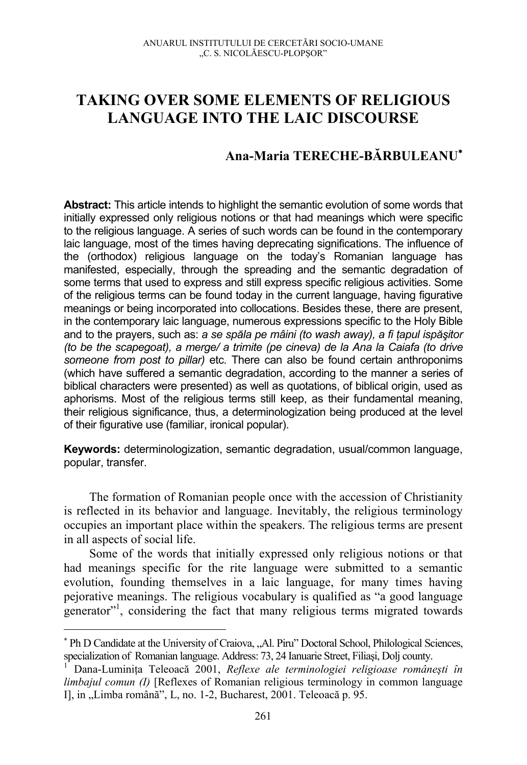## **TAKING OVER SOME ELEMENTS OF RELIGIOUS LANGUAGE INTO THE LAIC DISCOURSE**

## **Ana-Maria TERECHE-BĂRBULEANU**<sup>∗</sup>

**Abstract:** This article intends to highlight the semantic evolution of some words that initially expressed only religious notions or that had meanings which were specific to the religious language. A series of such words can be found in the contemporary laic language, most of the times having deprecating significations. The influence of the (orthodox) religious language on the today's Romanian language has manifested, especially, through the spreading and the semantic degradation of some terms that used to express and still express specific religious activities. Some of the religious terms can be found today in the current language, having figurative meanings or being incorporated into collocations. Besides these, there are present, in the contemporary laic language, numerous expressions specific to the Holy Bible and to the prayers, such as: *a se spăla pe mâini (to wash away), a fi ţapul ispăşitor (to be the scapegoat), a merge/ a trimite (pe cineva) de la Ana la Caiafa (to drive someone from post to pillar)* etc*.* There can also be found certain anthroponims (which have suffered a semantic degradation, according to the manner a series of biblical characters were presented) as well as quotations, of biblical origin, used as aphorisms. Most of the religious terms still keep, as their fundamental meaning, their religious significance, thus, a determinologization being produced at the level of their figurative use (familiar, ironical popular).

**Keywords:** determinologization, semantic degradation, usual/common language, popular, transfer.

The formation of Romanian people once with the accession of Christianity is reflected in its behavior and language. Inevitably, the religious terminology occupies an important place within the speakers. The religious terms are present in all aspects of social life.

Some of the words that initially expressed only religious notions or that had meanings specific for the rite language were submitted to a semantic evolution, founding themselves in a laic language, for many times having pejorative meanings. The religious vocabulary is qualified as "a good language generator"1 , considering the fact that many religious terms migrated towards

<sup>\*</sup> Ph D Candidate at the University of Craiova, "Al. Piru" Doctoral School, Philological Sciences, specialization of Romanian language. Address: 73, 24 Ianuarie Street, Filiași, Dolj county.<br><sup>1</sup> Dana-Luminița Teleoacă 2001, *Reflexe ale terminologiei religioase românești în* 

*limbajul comun (I)* [Reflexes of Romanian religious terminology in common language I], in "Limba română", L, no. 1-2, Bucharest, 2001. Teleoacă p. 95.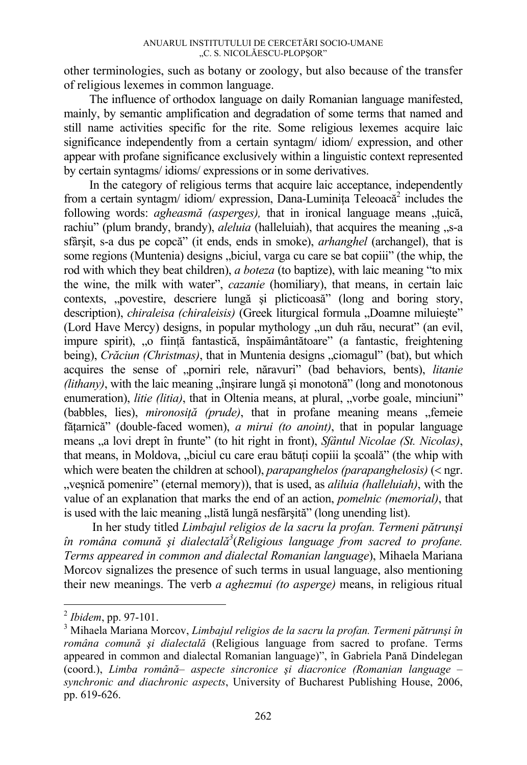other terminologies, such as botany or zoology, but also because of the transfer of religious lexemes in common language.

The influence of orthodox language on daily Romanian language manifested, mainly, by semantic amplification and degradation of some terms that named and still name activities specific for the rite. Some religious lexemes acquire laic significance independently from a certain syntagm/ idiom/ expression, and other appear with profane significance exclusively within a linguistic context represented by certain syntagms/ idioms/ expressions or in some derivatives.

In the category of religious terms that acquire laic acceptance, independently from a certain syntagm/ idiom/ expression, Dana-Luminița Teleoacă<sup>2</sup> includes the following words: *agheasmă (asperges)*, that in ironical language means "tuică, rachiu" (plum brandy, brandy), *aleluia* (halleluiah), that acquires the meaning  $\mathbf{S}$ -a sfârşit, s-a dus pe copcă" (it ends, ends in smoke), *arhanghel* (archangel), that is some regions (Muntenia) designs "biciul, varga cu care se bat copiii" (the whip, the rod with which they beat children), *a boteza* (to baptize), with laic meaning "to mix the wine, the milk with water", *cazanie* (homiliary), that means, in certain laic contexts, "povestire, descriere lungă şi plicticoasă" (long and boring story, description), *chiraleisa (chiraleisis)* (Greek liturgical formula "Doamne miluiește" (Lord Have Mercy) designs, in popular mythology , un duh rău, necurat" (an evil, impure spirit), "o ființă fantastică, înspăimântătoare" (a fantastic, freightening being), *Crăciun (Christmas)*, that in Muntenia designs "ciomagul" (bat), but which acquires the sense of "porniri rele, năravuri" (bad behaviors, bents), *litanie*   $(lithany)$ , with the laic meaning  $\hat{m}$  insirare lungă și monotonă" (long and monotonous enumeration), *litie (litia)*, that in Oltenia means, at plural, "vorbe goale, minciuni" (babbles, lies), *mironosiță (prude)*, that in profane meaning means "femeie făţarnică" (double-faced women), *a mirui (to anoint)*, that in popular language means "a lovi drept în frunte" (to hit right in front), *Sfântul Nicolae (St. Nicolas)*, that means, in Moldova, "biciul cu care erau bătuti copiii la scoală" (the whip with which were beaten the children at school), *parapanghelos (parapanghelosis)* (< ngr. "veşnică pomenire" (eternal memory)), that is used, as *aliluia (halleluiah)*, with the value of an explanation that marks the end of an action, *pomelnic (memorial)*, that is used with the laic meaning "listă lungă nesfârșită" (long unending list).

 In her study titled *Limbajul religios de la sacru la profan. Termeni pătrunşi în româna comună şi dialectală<sup>3</sup>* (*Religious language from sacred to profane. Terms appeared in common and dialectal Romanian language*), Mihaela Mariana Morcov signalizes the presence of such terms in usual language, also mentioning their new meanings. The verb *a aghezmui (to asperge)* means, in religious ritual

 $^{2}$  *Ibidem*, pp. 97-101.

Mihaela Mariana Morcov, *Limbajul religios de la sacru la profan. Termeni pătrunşi în româna comună şi dialectală* (Religious language from sacred to profane. Terms appeared in common and dialectal Romanian language)", în Gabriela Pană Dindelegan (coord.), *Limba română– aspecte sincronice şi diacronice (Romanian language – synchronic and diachronic aspects*, University of Bucharest Publishing House, 2006, pp. 619-626.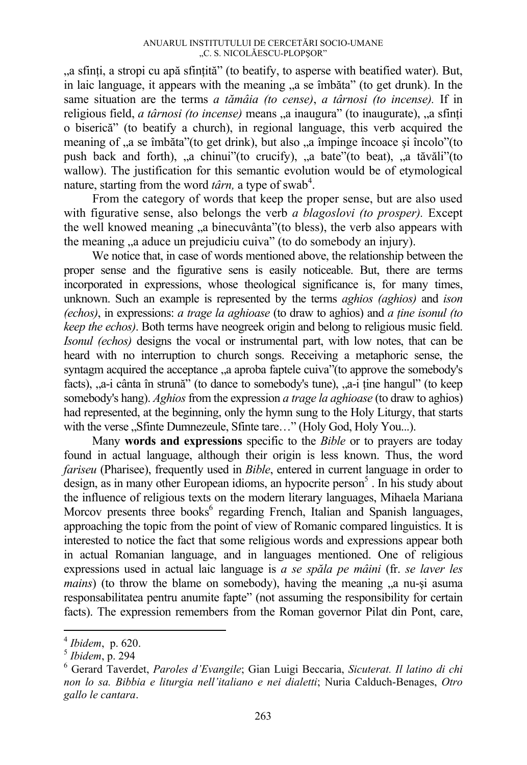"a sfinți, a stropi cu apă sfințită" (to beatify, to asperse with beatified water). But, in laic language, it appears with the meaning  $\alpha$  as a îmbăta" (to get drunk). In the same situation are the terms *a tămâia (to cense)*, *a târnosi (to incense).* If in religious field, *a târnosi (to incense)* means "a inaugura" (to inaugurate), "a sfinti o biserică" (to beatify a church), in regional language, this verb acquired the meaning of "a se îmbăta"(to get drink), but also "a împinge încoace și încolo"(to push back and forth), "a chinui"(to crucify), "a bate"(to beat), "a tăvăli"(to wallow). The justification for this semantic evolution would be of etymological nature, starting from the word  $\hat{t}$  *târn*, a type of swab<sup>4</sup>.

 From the category of words that keep the proper sense, but are also used with figurative sense, also belongs the verb *a blagoslovi (to prosper).* Except the well knowed meaning  $\alpha$  binecuvânta" (to bless), the verb also appears with the meaning a aduce un prejudiciu cuiva" (to do somebody an injury).

 We notice that, in case of words mentioned above, the relationship between the proper sense and the figurative sens is easily noticeable. But, there are terms incorporated in expressions, whose theological significance is, for many times, unknown. Such an example is represented by the terms *aghios (aghios)* and *ison (echos)*, in expressions: *a trage la aghioase* (to draw to aghios) and *a ţine isonul (to keep the echos)*. Both terms have neogreek origin and belong to religious music field. *Isonul (echos)* designs the vocal or instrumental part, with low notes, that can be heard with no interruption to church songs. Receiving a metaphoric sense, the syntagm acquired the acceptance  $\alpha$  aproba faptele cuiva" (to approve the somebody's facts), "a-i cânta în strună" (to dance to somebody's tune), "a-i ține hangul" (to keep somebody's hang). *Aghios* from the expression *a trage la aghioase* (to draw to aghios) had represented, at the beginning, only the hymn sung to the Holy Liturgy, that starts with the verse "Sfinte Dumnezeule, Sfinte tare…" (Holy God, Holy You...).

 Many **words and expressions** specific to the *Bible* or to prayers are today found in actual language, although their origin is less known. Thus, the word *fariseu* (Pharisee), frequently used in *Bible*, entered in current language in order to design, as in many other European idioms, an hypocrite person<sup>5</sup>. In his study about the influence of religious texts on the modern literary languages, Mihaela Mariana Morcov presents three books<sup>6</sup> regarding French, Italian and Spanish languages, approaching the topic from the point of view of Romanic compared linguistics. It is interested to notice the fact that some religious words and expressions appear both in actual Romanian language, and in languages mentioned. One of religious expressions used in actual laic language is *a se spăla pe mâini* (fr. *se laver les mains*) (to throw the blame on somebody), having the meaning  $\alpha$  a nu-si asuma responsabilitatea pentru anumite fapte" (not assuming the responsibility for certain facts). The expression remembers from the Roman governor Pilat din Pont, care,

<sup>&</sup>lt;sup>4</sup> *Ibidem*, p. 620.<br><sup>5</sup> *Ibidem*, p. 294

Gerard Taverdet, *Paroles d'Evangile*; Gian Luigi Beccaria, *Sicuterat. Il latino di chi non lo sa. Bibbia e liturgia nell'italiano e nei dialetti*; Nuria Calduch-Benages, *Otro gallo le cantara*.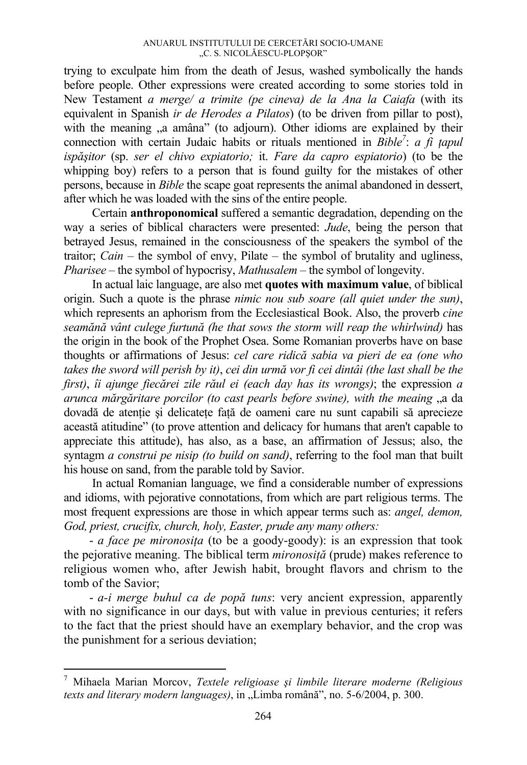trying to exculpate him from the death of Jesus, washed symbolically the hands before people. Other expressions were created according to some stories told in New Testament *a merge/ a trimite (pe cineva) de la Ana la Caiafa* (with its equivalent in Spanish *ir de Herodes a Pilatos*) (to be driven from pillar to post), with the meaning "a amâna" (to adjourn). Other idioms are explained by their connection with certain Judaic habits or rituals mentioned in *Bible<sup>7</sup>*: *a fi tapul ispăşitor* (sp. *ser el chivo expiatorio;* it. *Fare da capro espiatorio*) (to be the whipping boy) refers to a person that is found guilty for the mistakes of other persons, because in *Bible* the scape goat represents the animal abandoned in dessert, after which he was loaded with the sins of the entire people.

 Certain **anthroponomical** suffered a semantic degradation, depending on the way a series of biblical characters were presented: *Jude*, being the person that betrayed Jesus, remained in the consciousness of the speakers the symbol of the traitor; *Cain* – the symbol of envy, Pilate – the symbol of brutality and ugliness, *Pharisee* – the symbol of hypocrisy, *Mathusalem* – the symbol of longevity.

 In actual laic language, are also met **quotes with maximum value**, of biblical origin. Such a quote is the phrase *nimic nou sub soare (all quiet under the sun)*, which represents an aphorism from the Ecclesiastical Book. Also, the proverb *cine seamănă vânt culege furtună (he that sows the storm will reap the whirlwind)* has the origin in the book of the Prophet Osea. Some Romanian proverbs have on base thoughts or affirmations of Jesus: *cel care ridică sabia va pieri de ea (one who takes the sword will perish by it)*, *cei din urmă vor fi cei dintâi (the last shall be the first)*, *îi ajunge fiecărei zile răul ei (each day has its wrongs)*; the expression *a arunca mărgăritare porcilor (to cast pearls before swine), with the meaing* "a da dovadă de atenţie şi delicateţe faţă de oameni care nu sunt capabili să aprecieze această atitudine" (to prove attention and delicacy for humans that aren't capable to appreciate this attitude), has also, as a base, an affirmation of Jessus; also, the syntagm *a construi pe nisip (to build on sand)*, referring to the fool man that built his house on sand, from the parable told by Savior.

 In actual Romanian language, we find a considerable number of expressions and idioms, with pejorative connotations, from which are part religious terms. The most frequent expressions are those in which appear terms such as: *angel, demon, God, priest, crucifix, church, holy, Easter, prude any many others:* 

- *a face pe mironosita* (to be a goody-goody): is an expression that took the pejorative meaning. The biblical term *mironosiţă* (prude) makes reference to religious women who, after Jewish habit, brought flavors and chrism to the tomb of the Savior;

- *a-i merge buhul ca de popă tuns*: very ancient expression, apparently with no significance in our days, but with value in previous centuries; it refers to the fact that the priest should have an exemplary behavior, and the crop was the punishment for a serious deviation;

<sup>7</sup> Mihaela Marian Morcov, *Textele religioase şi limbile literare moderne (Religious texts and literary modern languages*), in "Limba română", no. 5-6/2004, p. 300.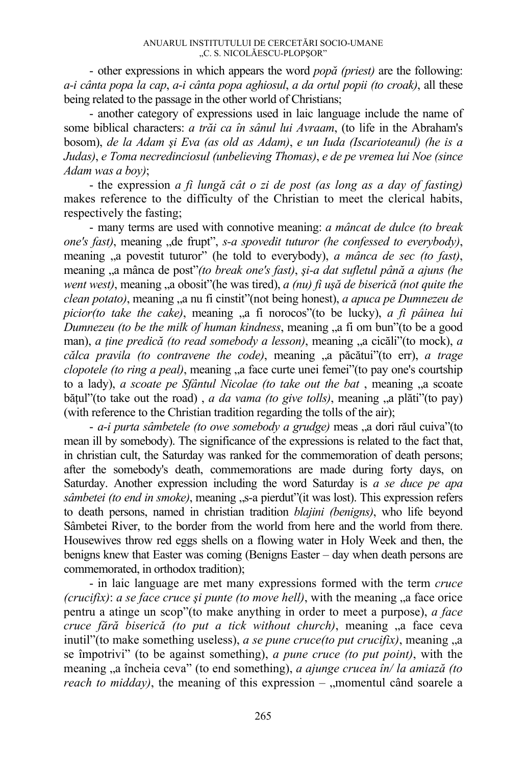- other expressions in which appears the word *popă (priest)* are the following: *a-i cânta popa la cap*, *a-i cânta popa aghiosul*, *a da ortul popii (to croak)*, all these being related to the passage in the other world of Christians;

- another category of expressions used in laic language include the name of some biblical characters: *a trăi ca în sânul lui Avraam*, (to life in the Abraham's bosom), *de la Adam şi Eva (as old as Adam)*, *e un Iuda (Iscarioteanul) (he is a Judas)*, *e Toma necredinciosul (unbelieving Thomas)*, *e de pe vremea lui Noe (since Adam was a boy)*;

- the expression *a fi lungă cât o zi de post (as long as a day of fasting)* makes reference to the difficulty of the Christian to meet the clerical habits, respectively the fasting;

- many terms are used with connotive meaning: *a mâncat de dulce (to break one's fast*), meaning , de frupt", *s-a spovedit tuturor (he confessed to everybody)*, meaning  $\alpha$  povestit tuturor" (he told to everybody), *a mânca de sec (to fast)*, meaning "a mânca de post"*(to break one's fast)*, *şi-a dat sufletul până a ajuns (he went west)*, meaning "a obosit"(he was tired), *a (nu) fi uşă de biserică (not quite the clean potato)*, meaning "a nu fi cinstit" (not being honest), *a apuca pe Dumnezeu de picior(to take the cake)*, meaning "a fi norocos"(to be lucky), *a fi pâinea lui Dumnezeu (to be the milk of human kindness, meaning , a fi om bun''(to be a good* man), *a tine predică (to read somebody a lesson)*, meaning "a cicăli"(to mock), *a călca pravila (to contravene the code)*, meaning "a păcătui"(to err), *a trage clopotele (to ring a peal)*, meaning , a face curte unei femei"(to pay one's courtship to a lady), *a scoate pe Sfântul Nicolae (to take out the bat*, meaning <sub>a</sub> scoate bățul" (to take out the road), *a da vama (to give tolls)*, meaning "a plăti" (to pay) (with reference to the Christian tradition regarding the tolls of the air);

- *a-i purta sâmbetele (to owe somebody a grudge)* meas "a dori răul cuiva"(to mean ill by somebody). The significance of the expressions is related to the fact that, in christian cult, the Saturday was ranked for the commemoration of death persons; after the somebody's death, commemorations are made during forty days, on Saturday. Another expression including the word Saturday is *a se duce pe apa sâmbetei (to end in smoke)*, meaning  $\mathcal{S}_s$ -a pierdut"(it was lost). This expression refers to death persons, named in christian tradition *blajini (benigns)*, who life beyond Sâmbetei River, to the border from the world from here and the world from there. Housewives throw red eggs shells on a flowing water in Holy Week and then, the benigns knew that Easter was coming (Benigns Easter – day when death persons are commemorated, in orthodox tradition);

- in laic language are met many expressions formed with the term *cruce (crucifix): a se face cruce și punte (to move hell)*, with the meaning "a face orice pentru a atinge un scop"(to make anything in order to meet a purpose), *a face cruce fără biserică (to put a tick without church)*, meaning "a face ceva inutil"(to make something useless), *a se pune cruce(to put crucifix)*, meaning  $\alpha$ se împotrivi" (to be against something), *a pune cruce (to put point)*, with the meaning "a încheia ceva" (to end something), *a ajunge crucea în/ la amiază (to reach to midday*), the meaning of this expression  $-$  , momentul când soarele a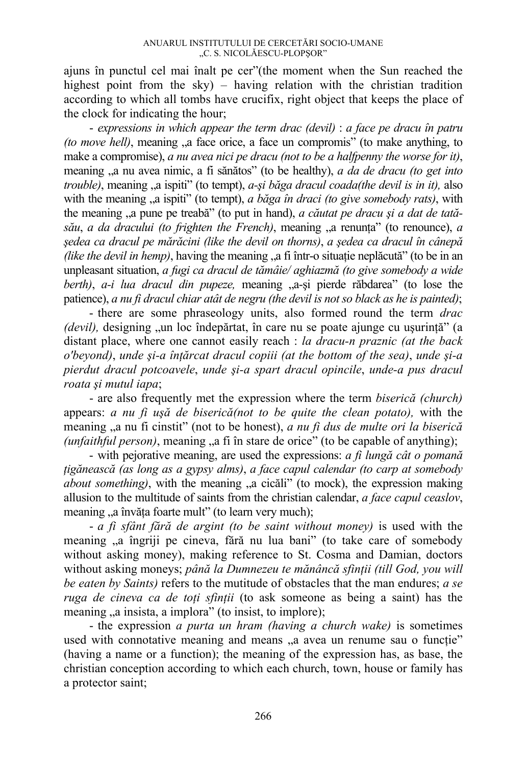ajuns în punctul cel mai înalt pe cer"(the moment when the Sun reached the highest point from the sky) – having relation with the christian tradition according to which all tombs have crucifix, right object that keeps the place of the clock for indicating the hour;

- *expressions in which appear the term drac (devil)* : *a face pe dracu în patru (to move hell)*, meaning  $a$ , a face orice, a face un compromis" (to make anything, to make a compromise), *a nu avea nici pe dracu (not to be a halfpenny the worse for it)*, meaning "a nu avea nimic, a fi sănătos" (to be healthy), *a da de dracu (to get into trouble*), meaning "a ispiti" (to tempt), *a-si băga dracul coada(the devil is in it)*, also with the meaning  $\alpha$ , a ispiti" (to tempt), *a băga în draci (to give somebody rats)*, with the meaning "a pune pe treabă" (to put in hand), *a căutat pe dracu şi a dat de tată* $s\ddot{a}u$ , *a da dracului (to frighten the French)*, meaning  $a$  renunta" (to renounce), *a şedea ca dracul pe mărăcini (like the devil on thorns)*, *a şedea ca dracul în cânepă (like the devil in hemp)*, having the meaning  $a$ , a fi într-o situatie neplăcută" (to be in an unpleasant situation, *a fugi ca dracul de tămâie/ aghiazmă (to give somebody a wide berth)*, *a-i lua dracul din pupeze*, meaning "a-si pierde răbdarea" (to lose the patience), *a nu fi dracul chiar atât de negru (the devil is not so black as he is painted)*;

- there are some phraseology units, also formed round the term *drac (devil)*, designing "un loc îndepărtat, în care nu se poate ajunge cu usurintă" (a distant place, where one cannot easily reach : *la dracu-n praznic (at the back o'beyond)*, *unde şi-a înţărcat dracul copiii (at the bottom of the sea)*, *unde şi-a pierdut dracul potcoavele*, *unde şi-a spart dracul opincile*, *unde-a pus dracul roata şi mutul iapa*;

- are also frequently met the expression where the term *biserică (church)*  appears: *a nu fi uşă de biserică(not to be quite the clean potato),* with the meaning "a nu fi cinstit" (not to be honest), *a nu fi dus de multe ori la biserică*  $(unfaithful person)$ , meaning  $a_n$  fi în stare de orice" (to be capable of anything);

- with pejorative meaning, are used the expressions: *a fi lungă cât o pomană ţigănească (as long as a gypsy alms)*, *a face capul calendar (to carp at somebody about something*), with the meaning "a cicăli" (to mock), the expression making allusion to the multitude of saints from the christian calendar, *a face capul ceaslov*, meaning "a învăta foarte mult" (to learn very much);

- *a fi sfânt fără de argint (to be saint without money)* is used with the meaning "a îngriji pe cineva, fără nu lua bani" (to take care of somebody without asking money), making reference to St. Cosma and Damian, doctors without asking moneys; *până la Dumnezeu te mănâncă sfinţii (till God, you will be eaten by Saints)* refers to the mutitude of obstacles that the man endures; *a se ruga de cineva ca de toţi sfinţii* (to ask someone as being a saint) has the meaning , a insista, a implora" (to insist, to implore);

- the expression *a purta un hram (having a church wake)* is sometimes used with connotative meaning and means "a avea un renume sau o functie" (having a name or a function); the meaning of the expression has, as base, the christian conception according to which each church, town, house or family has a protector saint;